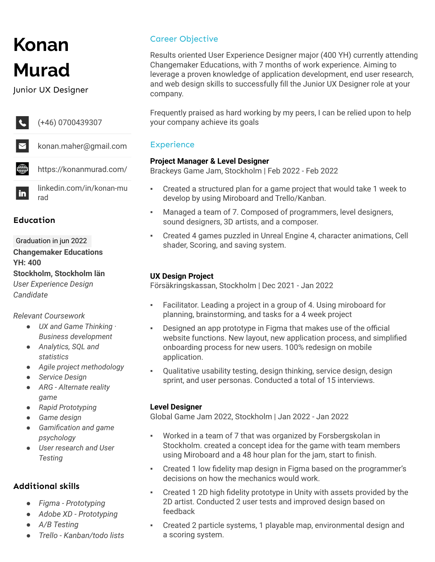# **Konan Murad**

Junior UX Designer



#### **Education**

Graduation in jun 2022 **Changemaker Educations YH: 400 Stockholm, Stockholm län** *User Experience Design Candidate*

#### *Relevant Coursework*

- *● UX and Game Thinking · Business development*
- *● Analytics, SQL and statistics*
- *● Agile project methodology*
- *● Service Design*
- *● ARG Alternate reality game*
- *● Rapid Prototyping*
- *● Game design*
- *● Gamification and game psychology*
- *● User research and User Testing*

## **Additional skills**

- *● Figma - Prototyping*
- *● Adobe XD - Prototyping*
- *● A/B Testing*
- *● Trello - Kanban/todo lists*

## Career Objective

Results oriented User Experience Designer major (400 YH) currently attending Changemaker Educations, with 7 months of work experience. Aiming to leverage a proven knowledge of application development, end user research, and web design skills to successfully fill the Junior UX Designer role at your company.

Frequently praised as hard working by my peers, I can be relied upon to help your company achieve its goals

## **Experience**

#### **Project Manager & Level Designer**

Brackeys Game Jam, Stockholm | Feb 2022 - Feb 2022

- Created a structured plan for a game project that would take 1 week to develop by using Miroboard and Trello/Kanban.
- Managed a team of 7. Composed of programmers, level designers, sound designers, 3D artists, and a composer.
- Created 4 games puzzled in Unreal Engine 4, character animations, Cell shader, Scoring, and saving system.

#### **UX Design Project**

Försäkringskassan, Stockholm | Dec 2021 - Jan 2022

- Facilitator. Leading a project in a group of 4. Using miroboard for planning, brainstorming, and tasks for a 4 week project
- Designed an app prototype in Figma that makes use of the official website functions. New layout, new application process, and simplified onboarding process for new users. 100% redesign on mobile application.
- Qualitative usability testing, design thinking, service design, design sprint, and user personas. Conducted a total of 15 interviews.

## **Level Designer**

Global Game Jam 2022, Stockholm | Jan 2022 - Jan 2022

- Worked in a team of 7 that was organized by Forsbergskolan in Stockholm. created a concept idea for the game with team members using Miroboard and a 48 hour plan for the jam, start to finish.
- Created 1 low fidelity map design in Figma based on the programmer's decisions on how the mechanics would work.
- Created 1 2D high fidelity prototype in Unity with assets provided by the 2D artist. Conducted 2 user tests and improved design based on feedback
- Created 2 particle systems, 1 playable map, environmental design and a scoring system.